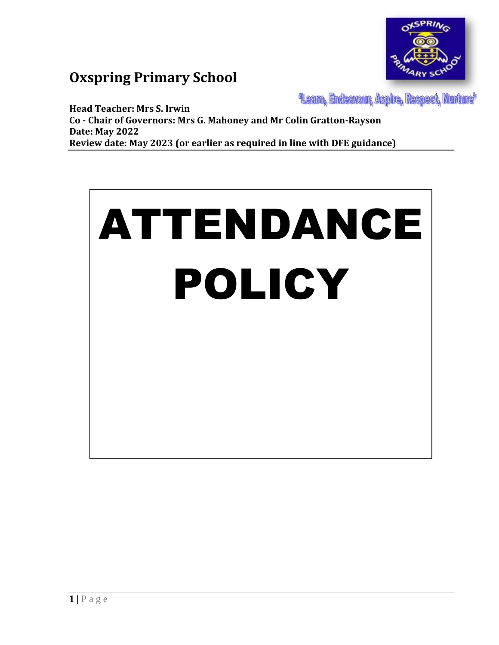

# **Oxspring Primary School**

**Learn, Endeavour, Aspire, Respect, Nurture** 

**Head Teacher: Mrs S. Irwin Co - Chair of Governors: Mrs G. Mahoney and Mr Colin Gratton-Rayson Date: May 2022 Review date: May 2023 (or earlier as required in line with DFE guidance)**

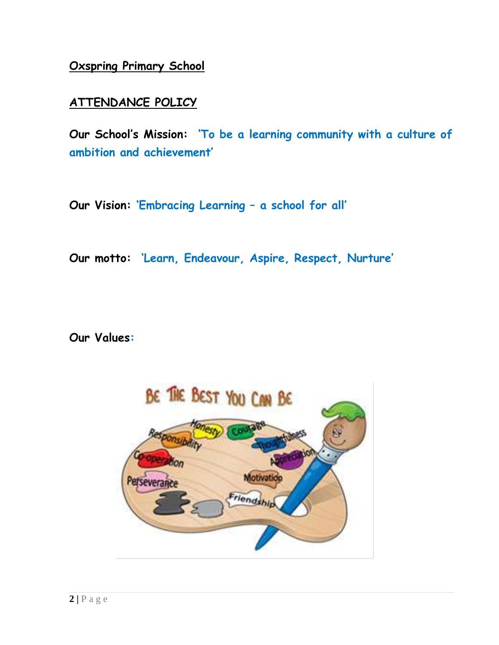**Oxspring Primary School**

## **ATTENDANCE POLICY**

**Our School's Mission: 'To be a learning community with a culture of ambition and achievement'**

**Our Vision: 'Embracing Learning – a school for all'**

**Our motto: 'Learn, Endeavour, Aspire, Respect, Nurture'**

**Our Values:**

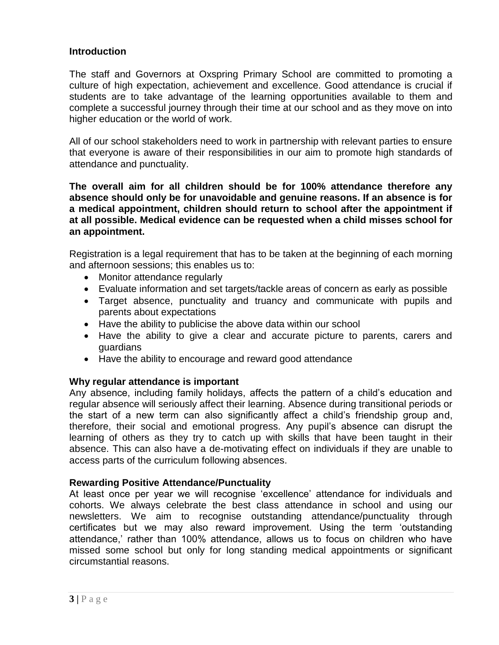### **Introduction**

The staff and Governors at Oxspring Primary School are committed to promoting a culture of high expectation, achievement and excellence. Good attendance is crucial if students are to take advantage of the learning opportunities available to them and complete a successful journey through their time at our school and as they move on into higher education or the world of work.

All of our school stakeholders need to work in partnership with relevant parties to ensure that everyone is aware of their responsibilities in our aim to promote high standards of attendance and punctuality.

**The overall aim for all children should be for 100% attendance therefore any absence should only be for unavoidable and genuine reasons. If an absence is for a medical appointment, children should return to school after the appointment if at all possible. Medical evidence can be requested when a child misses school for an appointment.**

Registration is a legal requirement that has to be taken at the beginning of each morning and afternoon sessions; this enables us to:

- Monitor attendance regularly
- Evaluate information and set targets/tackle areas of concern as early as possible
- Target absence, punctuality and truancy and communicate with pupils and parents about expectations
- Have the ability to publicise the above data within our school
- Have the ability to give a clear and accurate picture to parents, carers and guardians
- Have the ability to encourage and reward good attendance

#### **Why regular attendance is important**

Any absence, including family holidays, affects the pattern of a child's education and regular absence will seriously affect their learning. Absence during transitional periods or the start of a new term can also significantly affect a child's friendship group and, therefore, their social and emotional progress. Any pupil's absence can disrupt the learning of others as they try to catch up with skills that have been taught in their absence. This can also have a de-motivating effect on individuals if they are unable to access parts of the curriculum following absences.

#### **Rewarding Positive Attendance/Punctuality**

At least once per year we will recognise 'excellence' attendance for individuals and cohorts. We always celebrate the best class attendance in school and using our newsletters. We aim to recognise outstanding attendance/punctuality through certificates but we may also reward improvement. Using the term 'outstanding attendance,' rather than 100% attendance, allows us to focus on children who have missed some school but only for long standing medical appointments or significant circumstantial reasons.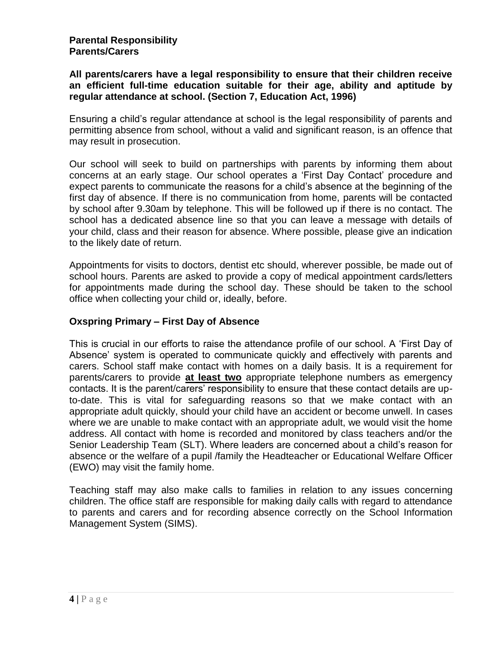#### **All parents/carers have a legal responsibility to ensure that their children receive an efficient full-time education suitable for their age, ability and aptitude by regular attendance at school. (Section 7, Education Act, 1996)**

Ensuring a child's regular attendance at school is the legal responsibility of parents and permitting absence from school, without a valid and significant reason, is an offence that may result in prosecution.

Our school will seek to build on partnerships with parents by informing them about concerns at an early stage. Our school operates a 'First Day Contact' procedure and expect parents to communicate the reasons for a child's absence at the beginning of the first day of absence. If there is no communication from home, parents will be contacted by school after 9.30am by telephone. This will be followed up if there is no contact. The school has a dedicated absence line so that you can leave a message with details of your child, class and their reason for absence. Where possible, please give an indication to the likely date of return.

Appointments for visits to doctors, dentist etc should, wherever possible, be made out of school hours. Parents are asked to provide a copy of medical appointment cards/letters for appointments made during the school day. These should be taken to the school office when collecting your child or, ideally, before.

### **Oxspring Primary – First Day of Absence**

This is crucial in our efforts to raise the attendance profile of our school. A 'First Day of Absence' system is operated to communicate quickly and effectively with parents and carers. School staff make contact with homes on a daily basis. It is a requirement for parents/carers to provide **at least two** appropriate telephone numbers as emergency contacts. It is the parent/carers' responsibility to ensure that these contact details are upto-date. This is vital for safeguarding reasons so that we make contact with an appropriate adult quickly, should your child have an accident or become unwell. In cases where we are unable to make contact with an appropriate adult, we would visit the home address. All contact with home is recorded and monitored by class teachers and/or the Senior Leadership Team (SLT). Where leaders are concerned about a child's reason for absence or the welfare of a pupil /family the Headteacher or Educational Welfare Officer (EWO) may visit the family home.

Teaching staff may also make calls to families in relation to any issues concerning children. The office staff are responsible for making daily calls with regard to attendance to parents and carers and for recording absence correctly on the School Information Management System (SIMS).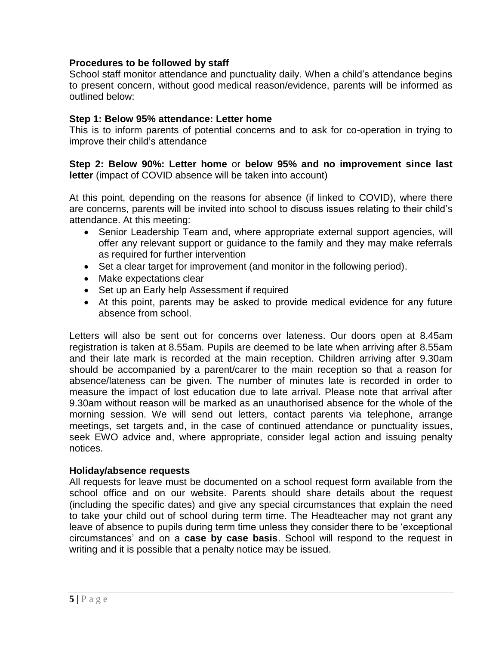#### **Procedures to be followed by staff**

School staff monitor attendance and punctuality daily. When a child's attendance begins to present concern, without good medical reason/evidence, parents will be informed as outlined below:

#### **Step 1: Below 95% attendance: Letter home**

This is to inform parents of potential concerns and to ask for co-operation in trying to improve their child's attendance

**Step 2: Below 90%: Letter home** or **below 95% and no improvement since last letter** (impact of COVID absence will be taken into account)

At this point, depending on the reasons for absence (if linked to COVID), where there are concerns, parents will be invited into school to discuss issues relating to their child's attendance. At this meeting:

- Senior Leadership Team and, where appropriate external support agencies, will offer any relevant support or guidance to the family and they may make referrals as required for further intervention
- Set a clear target for improvement (and monitor in the following period).
- Make expectations clear
- Set up an Early help Assessment if required
- At this point, parents may be asked to provide medical evidence for any future absence from school.

Letters will also be sent out for concerns over lateness. Our doors open at 8.45am registration is taken at 8.55am. Pupils are deemed to be late when arriving after 8.55am and their late mark is recorded at the main reception. Children arriving after 9.30am should be accompanied by a parent/carer to the main reception so that a reason for absence/lateness can be given. The number of minutes late is recorded in order to measure the impact of lost education due to late arrival. Please note that arrival after 9.30am without reason will be marked as an unauthorised absence for the whole of the morning session. We will send out letters, contact parents via telephone, arrange meetings, set targets and, in the case of continued attendance or punctuality issues, seek EWO advice and, where appropriate, consider legal action and issuing penalty notices.

#### **Holiday/absence requests**

All requests for leave must be documented on a school request form available from the school office and on our website. Parents should share details about the request (including the specific dates) and give any special circumstances that explain the need to take your child out of school during term time. The Headteacher may not grant any leave of absence to pupils during term time unless they consider there to be 'exceptional circumstances' and on a **case by case basis**. School will respond to the request in writing and it is possible that a penalty notice may be issued.